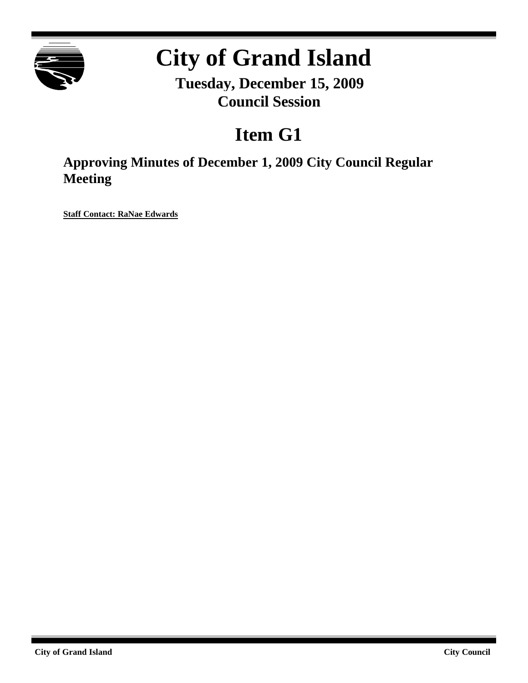

# **City of Grand Island**

**Tuesday, December 15, 2009 Council Session**

## **Item G1**

**Approving Minutes of December 1, 2009 City Council Regular Meeting**

**Staff Contact: RaNae Edwards**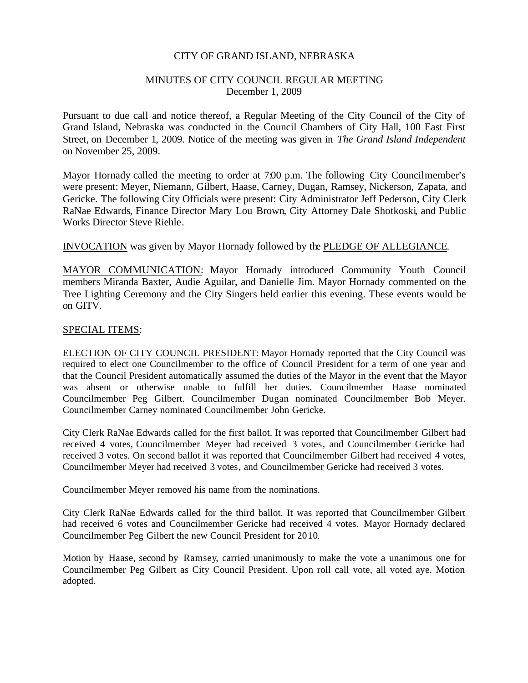#### CITY OF GRAND ISLAND, NEBRASKA

#### MINUTES OF CITY COUNCIL REGULAR MEETING December 1, 2009

Pursuant to due call and notice thereof, a Regular Meeting of the City Council of the City of Grand Island, Nebraska was conducted in the Council Chambers of City Hall, 100 East First Street, on December 1, 2009. Notice of the meeting was given in *The Grand Island Independent* on November 25, 2009.

Mayor Hornady called the meeting to order at 7:00 p.m. The following City Councilmember's were present: Meyer, Niemann, Gilbert, Haase, Carney, Dugan, Ramsey, Nickerson, Zapata, and Gericke. The following City Officials were present: City Administrator Jeff Pederson, City Clerk RaNae Edwards, Finance Director Mary Lou Brown, City Attorney Dale Shotkoski, and Public Works Director Steve Riehle.

#### INVOCATION was given by Mayor Hornady followed by the PLEDGE OF ALLEGIANCE.

MAYOR COMMUNICATION: Mayor Hornady introduced Community Youth Council members Miranda Baxter, Audie Aguilar, and Danielle Jim. Mayor Hornady commented on the Tree Lighting Ceremony and the City Singers held earlier this evening. These events would be on GITV.

#### SPECIAL ITEMS:

ELECTION OF CITY COUNCIL PRESIDENT: Mayor Hornady reported that the City Council was required to elect one Councilmember to the office of Council President for a term of one year and that the Council President automatically assumed the duties of the Mayor in the event that the Mayor was absent or otherwise unable to fulfill her duties. Councilmember Haase nominated Councilmember Peg Gilbert. Councilmember Dugan nominated Councilmember Bob Meyer. Councilmember Carney nominated Councilmember John Gericke.

City Clerk RaNae Edwards called for the first ballot. It was reported that Councilmember Gilbert had received 4 votes, Councilmember Meyer had received 3 votes, and Councilmember Gericke had received 3 votes. On second ballot it was reported that Councilmember Gilbert had received 4 votes, Councilmember Meyer had received 3 votes, and Councilmember Gericke had received 3 votes.

Councilmember Meyer removed his name from the nominations.

City Clerk RaNae Edwards called for the third ballot. It was reported that Councilmember Gilbert had received 6 votes and Councilmember Gericke had received 4 votes. Mayor Hornady declared Councilmember Peg Gilbert the new Council President for 2010.

Motion by Haase, second by Ramsey, carried unanimously to make the vote a unanimous one for Councilmember Peg Gilbert as City Council President. Upon roll call vote, all voted aye. Motion adopted.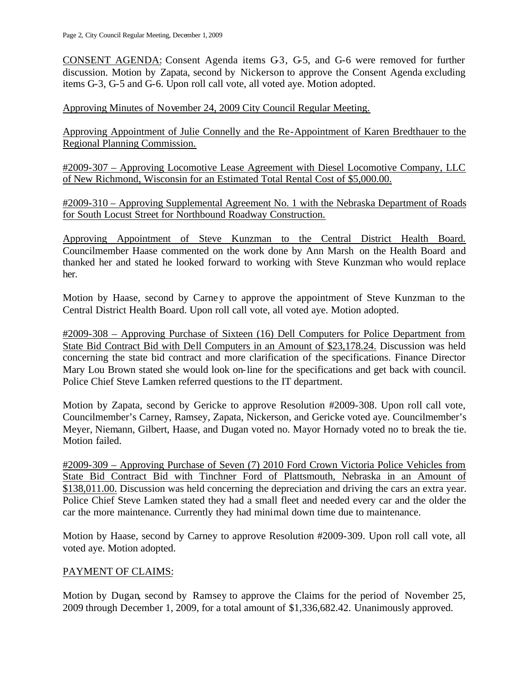CONSENT AGENDA: Consent Agenda items G3, G5, and G-6 were removed for further discussion. Motion by Zapata, second by Nickerson to approve the Consent Agenda excluding items G-3, G-5 and G-6. Upon roll call vote, all voted aye. Motion adopted.

Approving Minutes of November 24, 2009 City Council Regular Meeting.

Approving Appointment of Julie Connelly and the Re-Appointment of Karen Bredthauer to the Regional Planning Commission.

#2009-307 – Approving Locomotive Lease Agreement with Diesel Locomotive Company, LLC of New Richmond, Wisconsin for an Estimated Total Rental Cost of \$5,000.00.

#2009-310 – Approving Supplemental Agreement No. 1 with the Nebraska Department of Roads for South Locust Street for Northbound Roadway Construction.

Approving Appointment of Steve Kunzman to the Central District Health Board. Councilmember Haase commented on the work done by Ann Marsh on the Health Board and thanked her and stated he looked forward to working with Steve Kunzman who would replace her.

Motion by Haase, second by Carney to approve the appointment of Steve Kunzman to the Central District Health Board. Upon roll call vote, all voted aye. Motion adopted.

#2009-308 – Approving Purchase of Sixteen (16) Dell Computers for Police Department from State Bid Contract Bid with Dell Computers in an Amount of \$23,178.24. Discussion was held concerning the state bid contract and more clarification of the specifications. Finance Director Mary Lou Brown stated she would look on-line for the specifications and get back with council. Police Chief Steve Lamken referred questions to the IT department.

Motion by Zapata, second by Gericke to approve Resolution #2009-308. Upon roll call vote, Councilmember's Carney, Ramsey, Zapata, Nickerson, and Gericke voted aye. Councilmember's Meyer, Niemann, Gilbert, Haase, and Dugan voted no. Mayor Hornady voted no to break the tie. Motion failed.

#2009-309 – Approving Purchase of Seven (7) 2010 Ford Crown Victoria Police Vehicles from State Bid Contract Bid with Tinchner Ford of Plattsmouth, Nebraska in an Amount of \$138,011.00. Discussion was held concerning the depreciation and driving the cars an extra year. Police Chief Steve Lamken stated they had a small fleet and needed every car and the older the car the more maintenance. Currently they had minimal down time due to maintenance.

Motion by Haase, second by Carney to approve Resolution #2009-309. Upon roll call vote, all voted aye. Motion adopted.

### PAYMENT OF CLAIMS:

Motion by Dugan, second by Ramsey to approve the Claims for the period of November 25, 2009 through December 1, 2009, for a total amount of \$1,336,682.42. Unanimously approved.